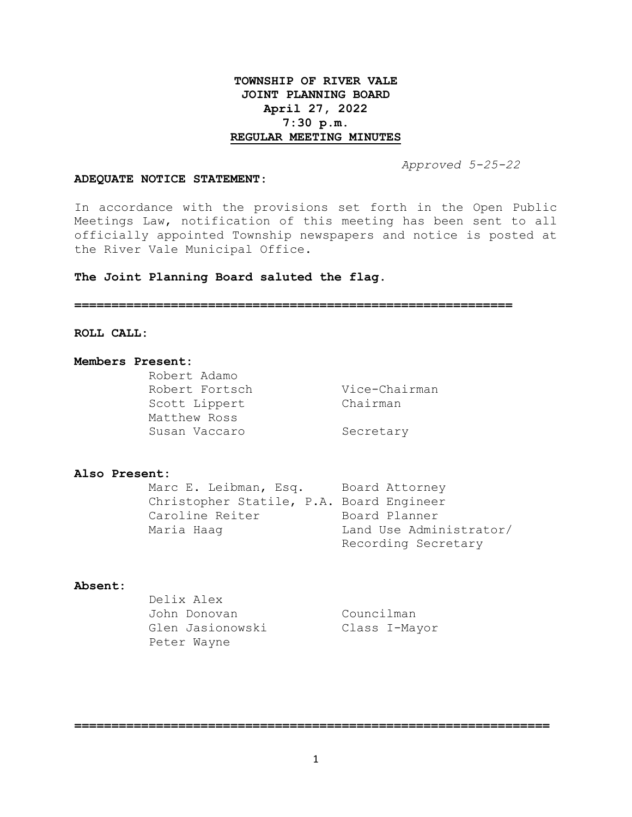# **TOWNSHIP OF RIVER VALE JOINT PLANNING BOARD April 27, 2022 7:30 p.m. REGULAR MEETING MINUTES**

 *Approved 5-25-22*

#### **ADEQUATE NOTICE STATEMENT:**

In accordance with the provisions set forth in the Open Public Meetings Law, notification of this meeting has been sent to all officially appointed Township newspapers and notice is posted at the River Vale Municipal Office.

## **The Joint Planning Board saluted the flag.**

**===========================================================**

## **ROLL CALL:**

#### **Members Present:**

Robert Adamo Robert Fortsch Vice-Chairman Scott Lippert Chairman Matthew Ross Susan Vaccaro Secretary

#### **Also Present:**

Marc E. Leibman, Esq. Board Attorney Christopher Statile, P.A. Board Engineer Caroline Reiter Board Planner Maria Haag  $L$  Land Use Administrator/ Recording Secretary

## **Absent:**

| Delix Alex       |               |
|------------------|---------------|
| John Donovan     | Councilman    |
| Glen Jasionowski | Class I-Mayor |
| Peter Wayne      |               |

**================================================================**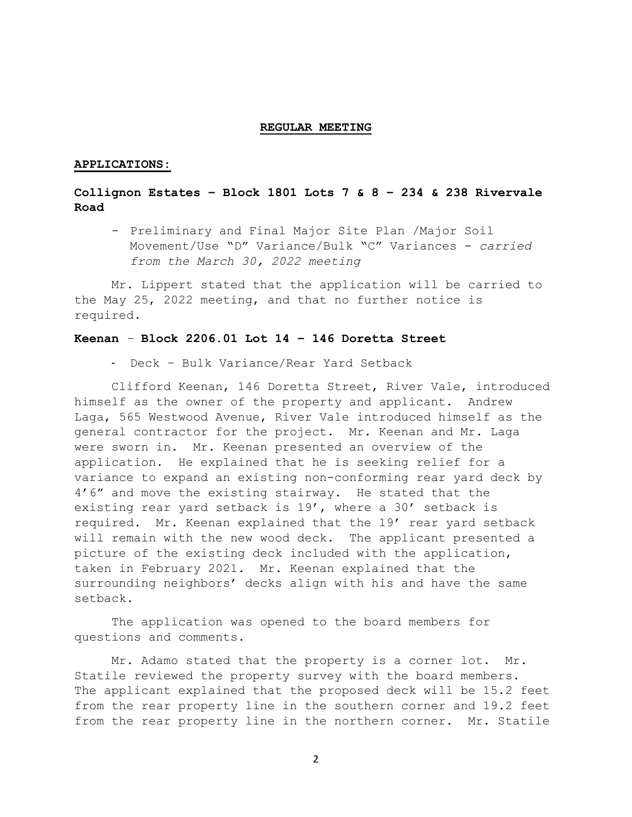#### **REGULAR MEETING**

### **APPLICATIONS:**

# **Collignon Estates – Block 1801 Lots 7 & 8 – 234 & 238 Rivervale Road**

- Preliminary and Final Major Site Plan /Major Soil Movement/Use "D" Variance/Bulk "C" Variances - *carried from the March 30, 2022 meeting*

Mr. Lippert stated that the application will be carried to the May 25, 2022 meeting, and that no further notice is required.

## **Keenan** *–* **Block 2206.01 Lot 14 – 146 Doretta Street**

- Deck – Bulk Variance/Rear Yard Setback

Clifford Keenan, 146 Doretta Street, River Vale, introduced himself as the owner of the property and applicant. Andrew Laga, 565 Westwood Avenue, River Vale introduced himself as the general contractor for the project. Mr. Keenan and Mr. Laga were sworn in. Mr. Keenan presented an overview of the application. He explained that he is seeking relief for a variance to expand an existing non-conforming rear yard deck by 4'6" and move the existing stairway. He stated that the existing rear yard setback is 19', where a 30' setback is required. Mr. Keenan explained that the 19' rear yard setback will remain with the new wood deck. The applicant presented a picture of the existing deck included with the application, taken in February 2021. Mr. Keenan explained that the surrounding neighbors' decks align with his and have the same setback.

The application was opened to the board members for questions and comments.

Mr. Adamo stated that the property is a corner lot. Mr. Statile reviewed the property survey with the board members. The applicant explained that the proposed deck will be 15.2 feet from the rear property line in the southern corner and 19.2 feet from the rear property line in the northern corner. Mr. Statile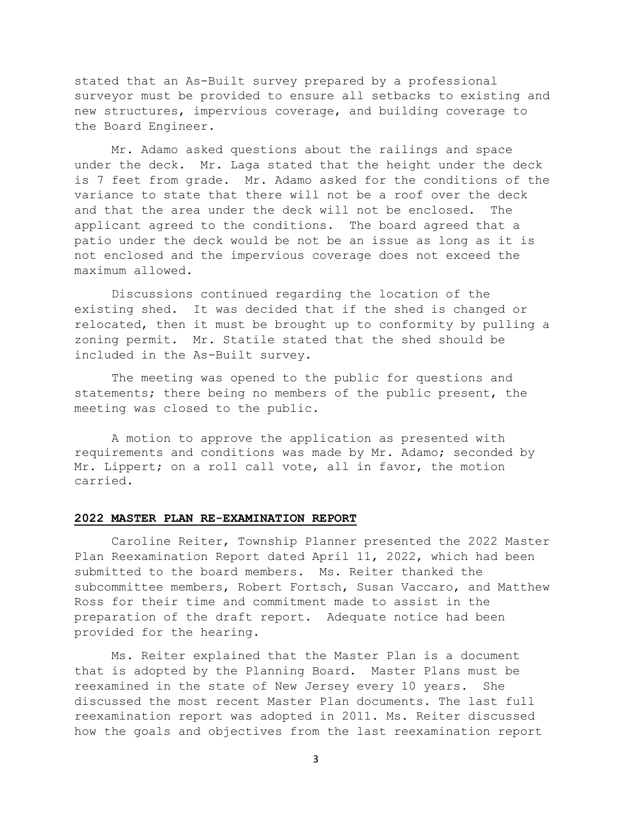stated that an As-Built survey prepared by a professional surveyor must be provided to ensure all setbacks to existing and new structures, impervious coverage, and building coverage to the Board Engineer.

Mr. Adamo asked questions about the railings and space under the deck. Mr. Laga stated that the height under the deck is 7 feet from grade. Mr. Adamo asked for the conditions of the variance to state that there will not be a roof over the deck and that the area under the deck will not be enclosed. The applicant agreed to the conditions. The board agreed that a patio under the deck would be not be an issue as long as it is not enclosed and the impervious coverage does not exceed the maximum allowed.

Discussions continued regarding the location of the existing shed. It was decided that if the shed is changed or relocated, then it must be brought up to conformity by pulling a zoning permit. Mr. Statile stated that the shed should be included in the As-Built survey.

The meeting was opened to the public for questions and statements; there being no members of the public present, the meeting was closed to the public.

A motion to approve the application as presented with requirements and conditions was made by Mr. Adamo; seconded by Mr. Lippert; on a roll call vote, all in favor, the motion carried.

### **2022 MASTER PLAN RE-EXAMINATION REPORT**

Caroline Reiter, Township Planner presented the 2022 Master Plan Reexamination Report dated April 11, 2022, which had been submitted to the board members. Ms. Reiter thanked the subcommittee members, Robert Fortsch, Susan Vaccaro, and Matthew Ross for their time and commitment made to assist in the preparation of the draft report. Adequate notice had been provided for the hearing.

Ms. Reiter explained that the Master Plan is a document that is adopted by the Planning Board. Master Plans must be reexamined in the state of New Jersey every 10 years. She discussed the most recent Master Plan documents. The last full reexamination report was adopted in 2011. Ms. Reiter discussed how the goals and objectives from the last reexamination report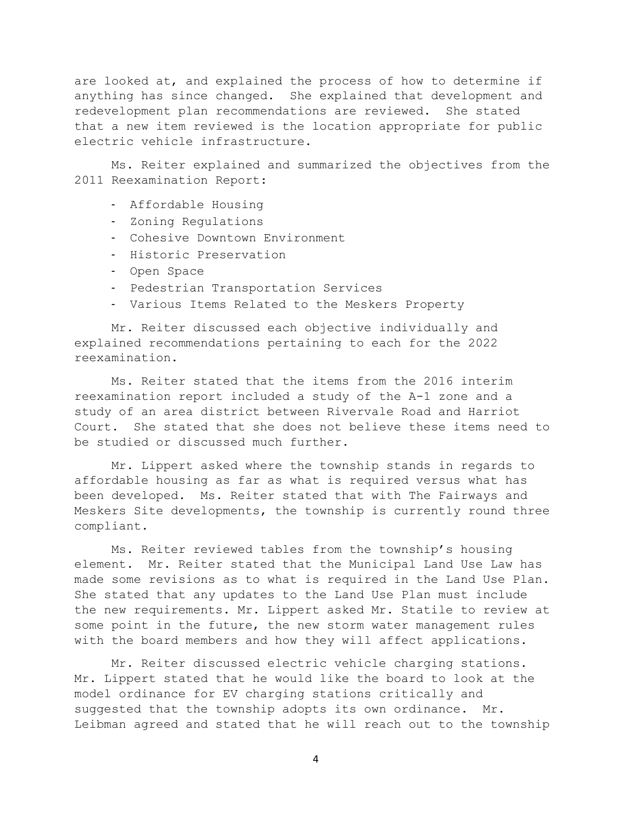are looked at, and explained the process of how to determine if anything has since changed. She explained that development and redevelopment plan recommendations are reviewed. She stated that a new item reviewed is the location appropriate for public electric vehicle infrastructure.

Ms. Reiter explained and summarized the objectives from the 2011 Reexamination Report:

- Affordable Housing
- Zoning Regulations
- Cohesive Downtown Environment
- Historic Preservation
- Open Space
- Pedestrian Transportation Services
- Various Items Related to the Meskers Property

Mr. Reiter discussed each objective individually and explained recommendations pertaining to each for the 2022 reexamination.

Ms. Reiter stated that the items from the 2016 interim reexamination report included a study of the A-1 zone and a study of an area district between Rivervale Road and Harriot Court. She stated that she does not believe these items need to be studied or discussed much further.

Mr. Lippert asked where the township stands in regards to affordable housing as far as what is required versus what has been developed. Ms. Reiter stated that with The Fairways and Meskers Site developments, the township is currently round three compliant.

Ms. Reiter reviewed tables from the township's housing element. Mr. Reiter stated that the Municipal Land Use Law has made some revisions as to what is required in the Land Use Plan. She stated that any updates to the Land Use Plan must include the new requirements. Mr. Lippert asked Mr. Statile to review at some point in the future, the new storm water management rules with the board members and how they will affect applications.

Mr. Reiter discussed electric vehicle charging stations. Mr. Lippert stated that he would like the board to look at the model ordinance for EV charging stations critically and suggested that the township adopts its own ordinance. Mr. Leibman agreed and stated that he will reach out to the township

4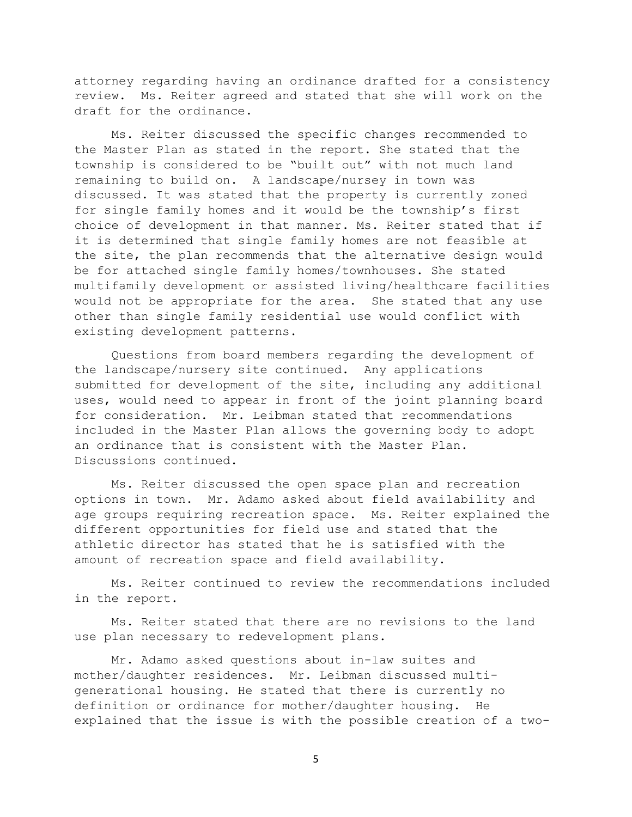attorney regarding having an ordinance drafted for a consistency review. Ms. Reiter agreed and stated that she will work on the draft for the ordinance.

Ms. Reiter discussed the specific changes recommended to the Master Plan as stated in the report. She stated that the township is considered to be "built out" with not much land remaining to build on. A landscape/nursey in town was discussed. It was stated that the property is currently zoned for single family homes and it would be the township's first choice of development in that manner. Ms. Reiter stated that if it is determined that single family homes are not feasible at the site, the plan recommends that the alternative design would be for attached single family homes/townhouses. She stated multifamily development or assisted living/healthcare facilities would not be appropriate for the area. She stated that any use other than single family residential use would conflict with existing development patterns.

Questions from board members regarding the development of the landscape/nursery site continued. Any applications submitted for development of the site, including any additional uses, would need to appear in front of the joint planning board for consideration. Mr. Leibman stated that recommendations included in the Master Plan allows the governing body to adopt an ordinance that is consistent with the Master Plan. Discussions continued.

Ms. Reiter discussed the open space plan and recreation options in town. Mr. Adamo asked about field availability and age groups requiring recreation space. Ms. Reiter explained the different opportunities for field use and stated that the athletic director has stated that he is satisfied with the amount of recreation space and field availability.

Ms. Reiter continued to review the recommendations included in the report.

Ms. Reiter stated that there are no revisions to the land use plan necessary to redevelopment plans.

Mr. Adamo asked questions about in-law suites and mother/daughter residences. Mr. Leibman discussed multigenerational housing. He stated that there is currently no definition or ordinance for mother/daughter housing. He explained that the issue is with the possible creation of a two-

5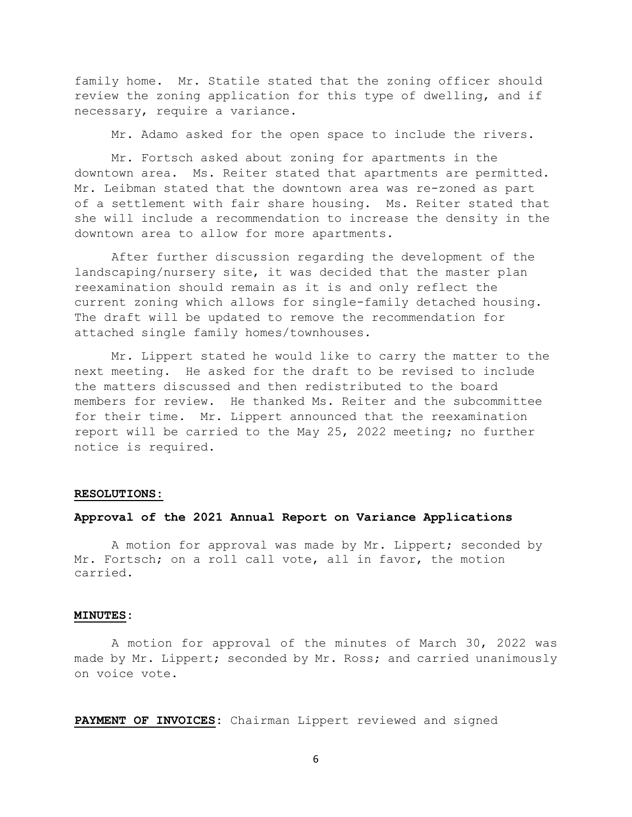family home. Mr. Statile stated that the zoning officer should review the zoning application for this type of dwelling, and if necessary, require a variance.

Mr. Adamo asked for the open space to include the rivers.

Mr. Fortsch asked about zoning for apartments in the downtown area. Ms. Reiter stated that apartments are permitted. Mr. Leibman stated that the downtown area was re-zoned as part of a settlement with fair share housing. Ms. Reiter stated that she will include a recommendation to increase the density in the downtown area to allow for more apartments.

After further discussion regarding the development of the landscaping/nursery site, it was decided that the master plan reexamination should remain as it is and only reflect the current zoning which allows for single-family detached housing. The draft will be updated to remove the recommendation for attached single family homes/townhouses.

Mr. Lippert stated he would like to carry the matter to the next meeting. He asked for the draft to be revised to include the matters discussed and then redistributed to the board members for review. He thanked Ms. Reiter and the subcommittee for their time. Mr. Lippert announced that the reexamination report will be carried to the May 25, 2022 meeting; no further notice is required.

#### **RESOLUTIONS:**

### **Approval of the 2021 Annual Report on Variance Applications**

A motion for approval was made by Mr. Lippert; seconded by Mr. Fortsch; on a roll call vote, all in favor, the motion carried.

#### **MINUTES:**

A motion for approval of the minutes of March 30, 2022 was made by Mr. Lippert; seconded by Mr. Ross; and carried unanimously on voice vote.

**PAYMENT OF INVOICES:** Chairman Lippert reviewed and signed